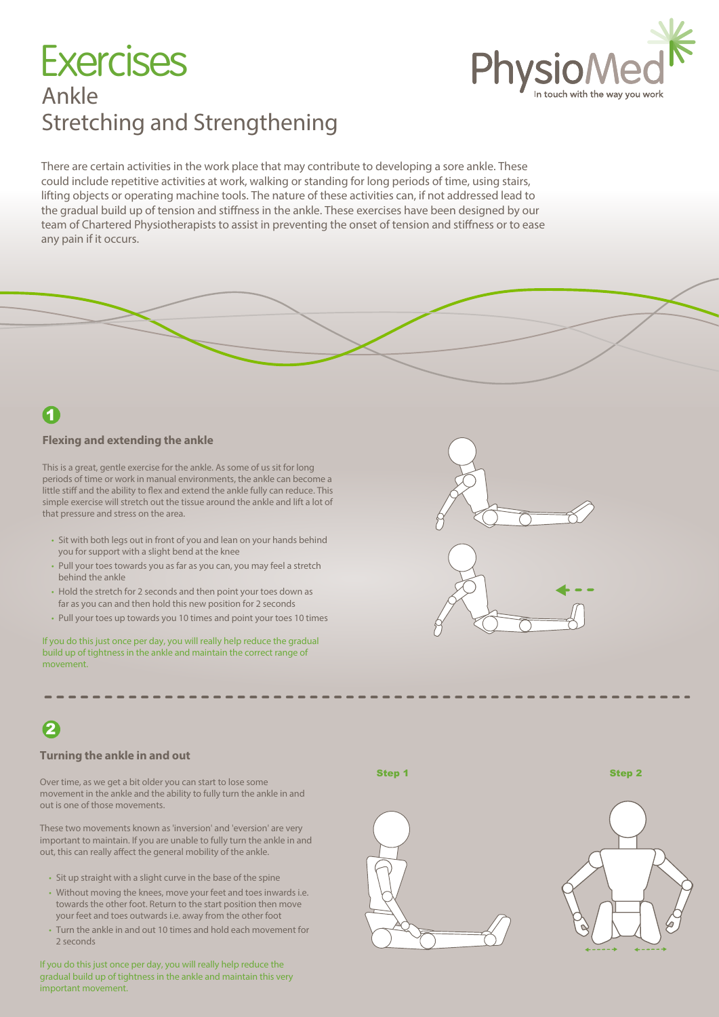# Ankle Stretching and Strengthening **Exercises**



There are certain activities in the work place that may contribute to developing a sore ankle. These could include repetitive activities at work, walking or standing for long periods of time, using stairs, lifting objects or operating machine tools. The nature of these activities can, if not addressed lead to the gradual build up of tension and stiffness in the ankle. These exercises have been designed by our team of Chartered Physiotherapists to assist in preventing the onset of tension and stiffness or to ease any pain if it occurs.

### 1

#### **Flexing and extending the ankle**

This is a great, gentle exercise for the ankle. As some of us sit for long periods of time or work in manual environments, the ankle can become a little stiff and the ability to flex and extend the ankle fully can reduce. This simple exercise will stretch out the tissue around the ankle and lift a lot of that pressure and stress on the area.

- Sit with both legs out in front of you and lean on your hands behind you for support with a slight bend at the knee
- Pull your toes towards you as far as you can, you may feel a stretch behind the ankle
- Hold the stretch for 2 seconds and then point your toes down as far as you can and then hold this new position for 2 seconds
- Pull your toes up towards you 10 times and point your toes 10 times

If you do this just once per day, you will really help reduce the gradual build up of tightness in the ankle and maintain the correct range of movement.

### 2

#### **Turning the ankle in and out**

Over time, as we get a bit older you can start to lose some movement in the ankle and the ability to fully turn the ankle in and out is one of those movements.

These two movements known as 'inversion' and 'eversion' are very important to maintain. If you are unable to fully turn the ankle in and out, this can really affect the general mobility of the ankle.

- Sit up straight with a slight curve in the base of the spine
- Without moving the knees, move your feet and toes inwards i.e. towards the other foot. Return to the start position then move your feet and toes outwards i.e. away from the other foot
- Turn the ankle in and out 10 times and hold each movement for 2 seconds

If you do this just once per day, you will really help reduce the gradual build up of tightness in the ankle and maintain this very important movement.



Step 1 Step 2 Step 2 Step 2 Step 2



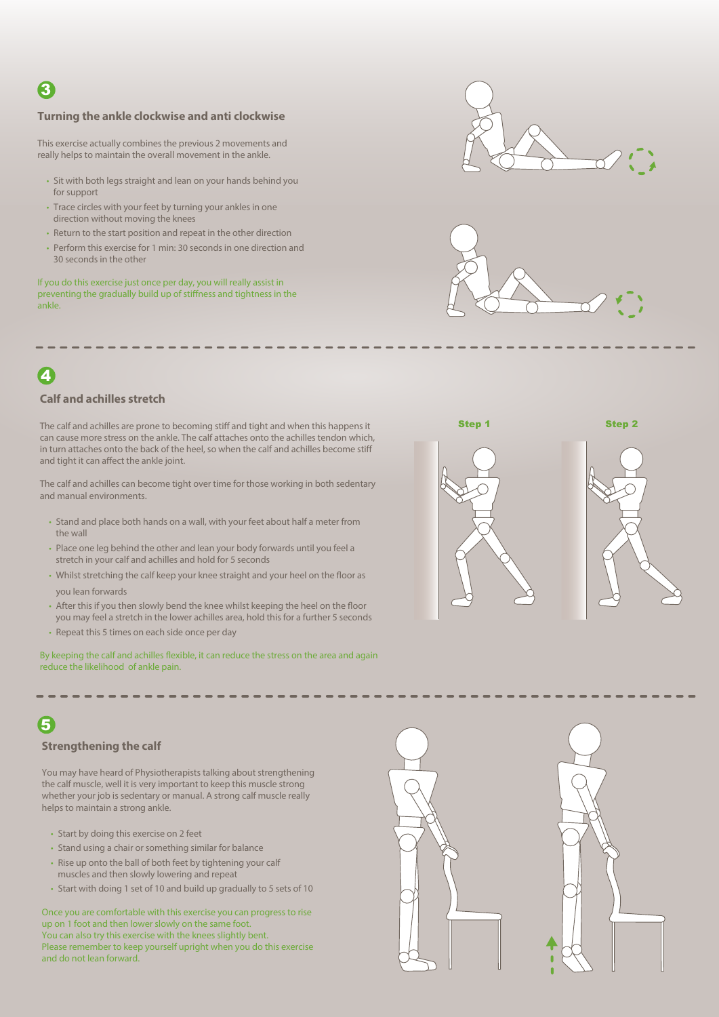### 3

#### **Turning the ankle clockwise and anti clockwise**

This exercise actually combines the previous 2 movements and really helps to maintain the overall movement in the ankle.

- Sit with both legs straight and lean on your hands behind you for support
- Trace circles with your feet by turning your ankles in one direction without moving the knees
- Return to the start position and repeat in the other direction
- Perform this exercise for 1 min: 30 seconds in one direction and 30 seconds in the other

If you do this exercise just once per day, you will really assist in preventing the gradually build up of stiffness and tightness in the ankle.





Step 1 Step 2

### $\overline{\mathbf{A}}$

#### **Calf and achilles stretch**

The calf and achilles are prone to becoming stiff and tight and when this happens it can cause more stress on the ankle. The calf attaches onto the achilles tendon which, in turn attaches onto the back of the heel, so when the calf and achilles become stiff and tight it can affect the ankle joint.

The calf and achilles can become tight over time for those working in both sedentary and manual environments.

- Stand and place both hands on a wall, with your feet about half a meter from the wall
- Place one leg behind the other and lean your body forwards until you feel a stretch in your calf and achilles and hold for 5 seconds
- Whilst stretching the calf keep your knee straight and your heel on the floor as vou lean forwards
- After this if you then slowly bend the knee whilst keeping the heel on the floor you may feel a stretch in the lower achilles area, hold this for a further 5 seconds
- Repeat this 5 times on each side once per day

By keeping the calf and achilles flexible, it can reduce the stress on the area and again reduce the likelihood of ankle pain.





### 5

#### **Strengthening the calf**

You may have heard of Physiotherapists talking about strengthening the calf muscle, well it is very important to keep this muscle strong whether your job is sedentary or manual. A strong calf muscle really helps to maintain a strong ankle.

- Start by doing this exercise on 2 feet
- Stand using a chair or something similar for balance
- Rise up onto the ball of both feet by tightening your calf muscles and then slowly lowering and repeat
- Start with doing 1 set of 10 and build up gradually to 5 sets of 10

Once you are comfortable with this exercise you can progress to rise up on 1 foot and then lower slowly on the same foot. You can also try this exercise with the knees slightly bent. Please remember to keep yourself upright when you do this exercise and do not lean forward.